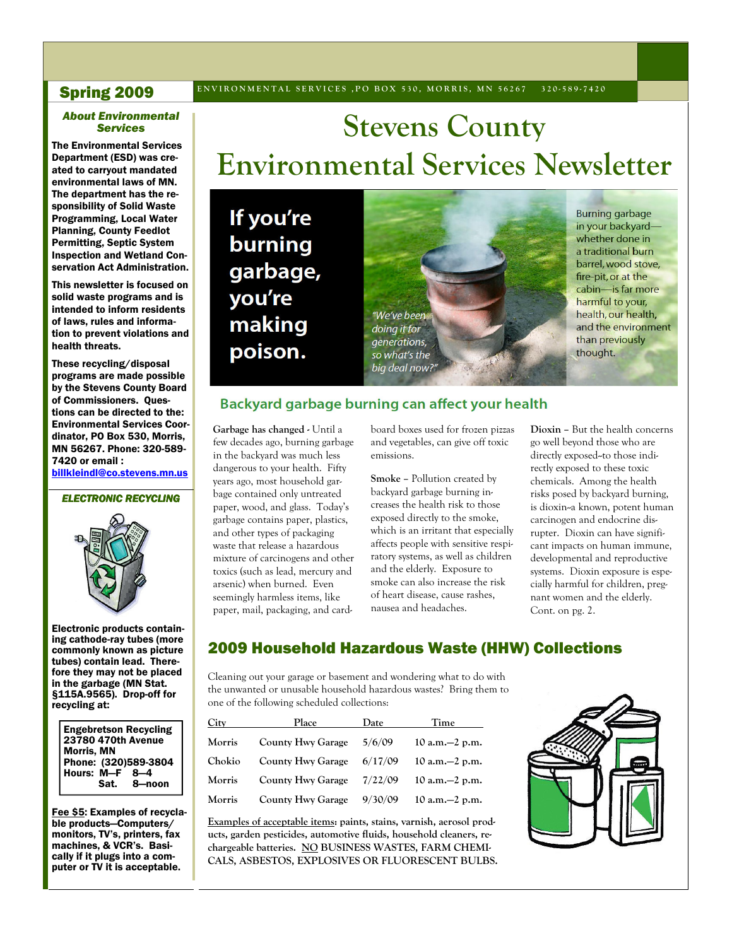#### **Spring 2009** ENVIRONMENTAL SERVICES, PO BOX 530, MORRIS, MN 56267 320-589-7420

#### *About Environmental Services*

The Environmental Services Department (ESD) was created to carryout mandated environmental laws of MN. The department has the responsibility of Solid Waste Programming, Local Water Planning, County Feedlot Permitting, Septic System Inspection and Wetland Conservation Act Administration.

 This newsletter is focused on solid waste programs and is intended to inform residents of laws, rules and information to prevent violations and health threats.

These recycling/disposal programs are made possible by the Stevens County Board of Commissioners. Questions can be directed to the: Environmental Services Coordinator, PO Box 530, Morris, MN 56267. Phone: 320-589- 7420 or email : billkleindl@co.stevens.mn.us

*ELECTRONIC RECYCLING* 



Electronic products containing cathode-ray tubes (more commonly known as picture tubes) contain lead. Therefore they may not be placed in the garbage (MN Stat. §115A.9565). Drop-off for recycling at:

Engebretson Recycling 23780 470th Avenue Morris, MN Phone: (320)589-3804<br>Hours: M-F 8-4 Hours: M-F<br>Sat. 8-noon

Fee \$5: Examples of recyclable products—Computers/ monitors, TV's, printers, fax machines, & VCR's. Basically if it plugs into a computer or TV it is acceptable.

# **Stevens County Environmental Services Newsletter**

If you're burning garbage, you're making poison.



**Burning garbage** in your backyardwhether done in a traditional burn barrel, wood stove, fire-pit, or at the cabin-is far more harmful to your, health, our health, and the environment than previously thought.

#### Backyard garbage burning can affect your health

**Garbage has changed -** Until a few decades ago, burning garbage in the backyard was much less dangerous to your health. Fifty years ago, most household garbage contained only untreated paper, wood, and glass. Today's garbage contains paper, plastics, and other types of packaging waste that release a hazardous mixture of carcinogens and other toxics (such as lead, mercury and arsenic) when burned. Even seemingly harmless items, like paper, mail, packaging, and cardboard boxes used for frozen pizzas and vegetables, can give off toxic emissions.

**Smoke –** Pollution created by backyard garbage burning increases the health risk to those exposed directly to the smoke, which is an irritant that especially affects people with sensitive respiratory systems, as well as children and the elderly. Exposure to smoke can also increase the risk of heart disease, cause rashes, nausea and headaches.

**Dioxin –** But the health concerns go well beyond those who are directly exposed-to those indirectly exposed to these toxic chemicals. Among the health risks posed by backyard burning, is dioxin--a known, potent human carcinogen and endocrine disrupter. Dioxin can have significant impacts on human immune, developmental and reproductive systems. Dioxin exposure is especially harmful for children, pregnant women and the elderly. Cont. on pg. 2.

### 2009 Household Hazardous Waste (HHW) Collections

Cleaning out your garage or basement and wondering what to do with the unwanted or unusable household hazardous wastes? Bring them to one of the following scheduled collections:

| City   | Place                    | Date    | Time                |
|--------|--------------------------|---------|---------------------|
| Morris | <b>County Hwy Garage</b> | 5/6/09  | $10$ a.m. $-2$ p.m. |
| Chokio | <b>County Hwy Garage</b> | 6/17/09 | $10$ a.m. $-2$ p.m. |
| Morris | <b>County Hwy Garage</b> | 7/22/09 | $10$ a.m. $-2$ p.m. |
| Morris | <b>County Hwy Garage</b> | 9/30/09 | 10 a.m. $-2$ p.m.   |

**Examples of acceptable items: paints, stains, varnish, aerosol products, garden pesticides, automotive fluids, household cleaners, rechargeable batteries. NO BUSINESS WASTES, FARM CHEMI-CALS, ASBESTOS, EXPLOSIVES OR FLUORESCENT BULBS.** 

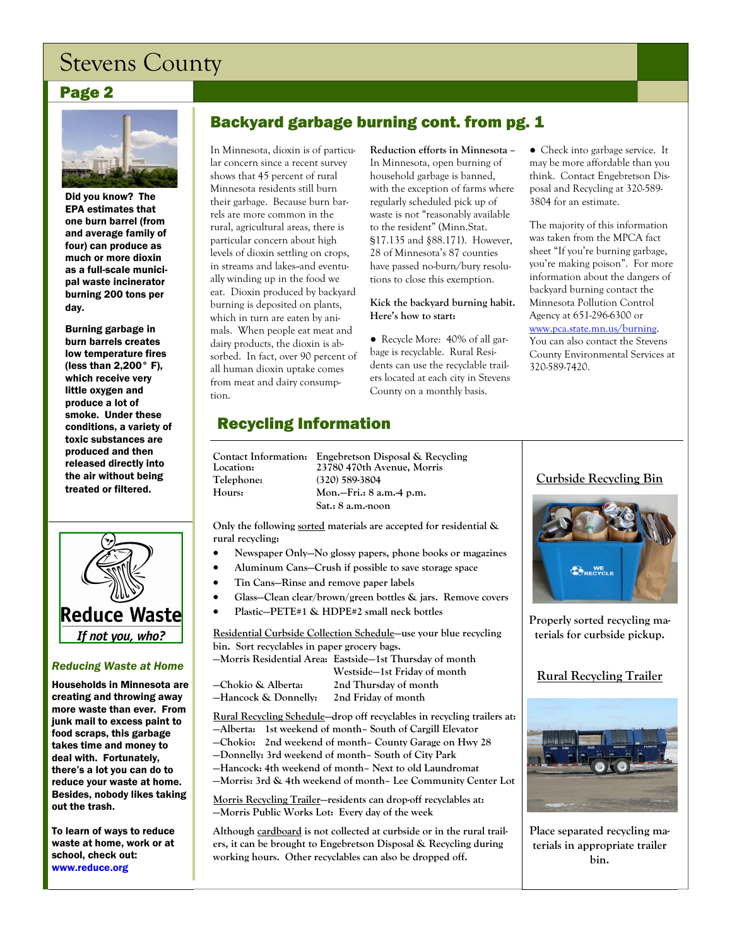# Stevens County

#### Page 2



Did you know? The EPA estimates that one burn barrel (from and average family of four) can produce as much or more dioxin as a full-scale municipal waste incinerator burning 200 tons per day.

Burning garbage in burn barrels creates low temperature fires (less than 2,200° F), which receive very little oxygen and produce a lot of smoke. Under these conditions, a variety of toxic substances are produced and then released directly into the air without being treated or filtered.



#### *Reducing Waste at Home*

Households in Minnesota are creating and throwing away more waste than ever. From junk mail to excess paint to food scraps, this garbage takes time and money to deal with. Fortunately, there's a lot you can do to reduce your waste at home. Besides, nobody likes taking out the trash.

To learn of ways to reduce waste at home, work or at school, check out: www.reduce.org

# Backyard garbage burning cont. from pg. 1

In Minnesota, dioxin is of particular concern since a recent survey shows that 45 percent of rural Minnesota residents still burn their garbage. Because burn barrels are more common in the rural, agricultural areas, there is particular concern about high levels of dioxin settling on crops, in streams and lakes-and eventually winding up in the food we eat. Dioxin produced by backyard burning is deposited on plants, which in turn are eaten by animals. When people eat meat and dairy products, the dioxin is absorbed. In fact, over 90 percent of all human dioxin uptake comes from meat and dairy consumption.

**Reduction efforts in Minnesota –** In Minnesota, open burning of household garbage is banned, with the exception of farms where regularly scheduled pick up of waste is not "reasonably available to the resident" (Minn.Stat. §17.135 and §88.171). However, 28 of Minnesota's 87 counties have passed no-burn/bury resolutions to close this exemption.

#### **Kick the backyard burning habit. Here's how to start:**

● Recycle More: 40% of all garbage is recyclable. Rural Residents can use the recyclable trailers located at each city in Stevens County on a monthly basis.

● Check into garbage service. It may be more affordable than you think. Contact Engebretson Disposal and Recycling at 320-589- 3804 for an estimate.

The majority of this information was taken from the MPCA fact sheet "If you're burning garbage, you're making poison". For more information about the dangers of backyard burning contact the Minnesota Pollution Control Agency at 651-296-6300 or www.pca.state.mn.us/burning. You can also contact the Stevens

County Environmental Services at 320-589-7420.

# Recycling Information

| Contact Information: Engebretson Disp<br>Location:<br>Telephone:<br>Hours: | 23780 470th Aver<br>$(320)$ 589-3804<br>Mon.-Fri.: 8 a.m |
|----------------------------------------------------------------------------|----------------------------------------------------------|
|                                                                            | Sat.: 8 a.m. noon                                        |

**Contact Information: Engebretson Disposal & Recycling Avenue, Morris** a.m.-4 p.m.

**Only the following sorted materials are accepted for residential & rural recycling:** 

- **Newspaper Only—No glossy papers, phone books or magazines**
- **Aluminum Cans—Crush if possible to save storage space**
- **Tin Cans—Rinse and remove paper labels**
- **Glass—Clean clear/brown/green bottles & jars. Remove covers**
- **Plastic—PETE#1 & HDPE#2 small neck bottles**

**Residential Curbside Collection Schedule—use your blue recycling bin. Sort recyclables in paper grocery bags.** 

**—Morris Residential Area: Eastside—1st Thursday of month** 

| –Chokio & Alberta:   | 2nd Thur  |
|----------------------|-----------|
| -Hancock & Donnelly: | 2nd Frida |
|                      |           |

 **Westside—1st Friday of month —Chokio & Alberta: 2nd Thursday of month —Hancock & Donnelly: 2nd Friday of month** 

**Rural Recycling Schedule—drop off recyclables in recycling trailers at: —Alberta: 1st weekend of month– South of Cargill Elevator —Chokio: 2nd weekend of month– County Garage on Hwy 28 —Donnelly: 3rd weekend of month– South of City Park**

**—Hancock: 4th weekend of month– Next to old Laundromat** 

**—Morris: 3rd & 4th weekend of month– Lee Community Center Lot** 

**Morris Recycling Trailer—residents can drop-off recyclables at: —Morris Public Works Lot: Every day of the week** 

**Although cardboard is not collected at curbside or in the rural trailers, it can be brought to Engebretson Disposal & Recycling during working hours. Other recyclables can also be dropped off.** 

#### **Curbside Recycling Bin**



**Properly sorted recycling materials for curbside pickup.** 

### **Rural Recycling Trailer**



**Place separated recycling materials in appropriate trailer bin.**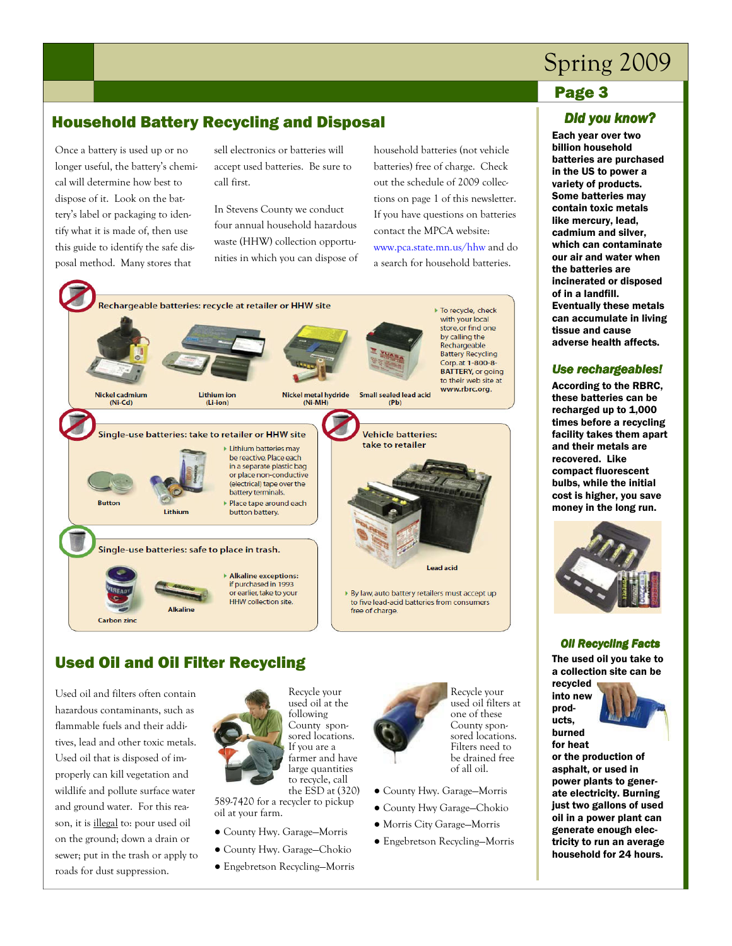# Spring 2009

### Page 3

# Household Battery Recycling and Disposal

Once a battery is used up or no longer useful, the battery's chemical will determine how best to dispose of it. Look on the battery's label or packaging to identify what it is made of, then use this guide to identify the safe disposal method. Many stores that

sell electronics or batteries will accept used batteries. Be sure to call first.

In Stevens County we conduct four annual household hazardous waste (HHW) collection opportunities in which you can dispose of household batteries (not vehicle batteries) free of charge. Check out the schedule of 2009 collections on page 1 of this newsletter. If you have questions on batteries contact the MPCA website:

www.pca.state.mn.us/hhw and do a search for household batteries.



# Used Oil and Oil Filter Recycling

Used oil and filters often contain hazardous contaminants, such as flammable fuels and their additives, lead and other toxic metals. Used oil that is disposed of improperly can kill vegetation and wildlife and pollute surface water and ground water. For this reason, it is illegal to: pour used oil on the ground; down a drain or sewer; put in the trash or apply to roads for dust suppression.



used oil at the following County sponsored locations. If you are a farmer and have large quantities to recycle, call the ESD at (320)

589-7420 for a recycler to pickup oil at your farm.

- County Hwy. Garage—Morris
- County Hwy. Garage—Chokio
- Engebretson Recycling—Morris



Recycle your used oil filters at one of these County sponsored locations. Filters need to be drained free of all oil.

- County Hwy. Garage—Morris
- County Hwy Garage—Chokio
- Morris City Garage—Morris
- Engebretson Recycling—Morris

#### *Did you know?*

Each year over two billion household batteries are purchased in the US to power a variety of products. Some batteries may contain toxic metals like mercury, lead, cadmium and silver, which can contaminate our air and water when the batteries are incinerated or disposed of in a landfill. Eventually these metals can accumulate in living tissue and cause adverse health affects.

#### *Use rechargeables!*

 According to the RBRC, these batteries can be recharged up to 1,000 times before a recycling facility takes them apart and their metals are recovered. Like compact fluorescent bulbs, while the initial cost is higher, you save money in the long run.



#### **Oil Recycling Facts**

 The used oil you take to a collection site can be recycled

products,



for heat or the production of asphalt, or used in power plants to generate electricity. Burning just two gallons of used oil in a power plant can generate enough electricity to run an average household for 24 hours.